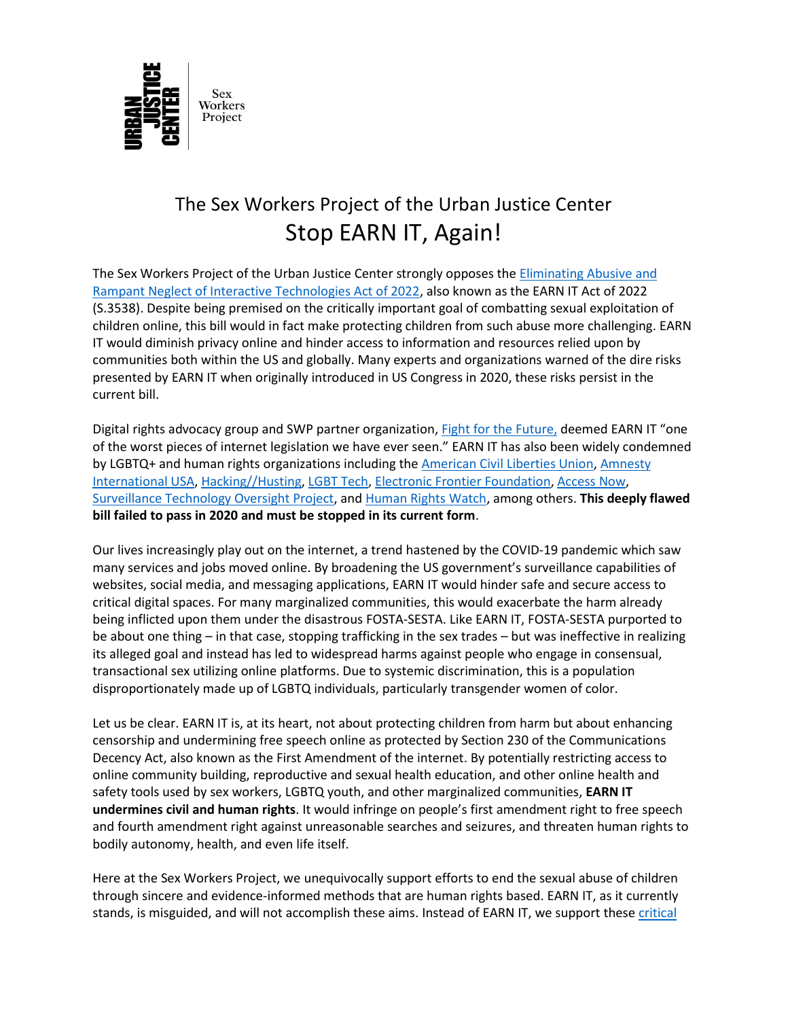

## The Sex Workers Project of the Urban Justice Center Stop EARN IT, Again!

The Sex Workers Project of the Urban Justice Center strongly opposes the [Eliminating Abusive and](https://www.congress.gov/117/bills/s3538/BILLS-117s3538is.pdf)  [Rampant Neglect of Interactive Technologies Act of 2022,](https://www.congress.gov/117/bills/s3538/BILLS-117s3538is.pdf) also known as the EARN IT Act of 2022 (S.3538). Despite being premised on the critically important goal of combatting sexual exploitation of children online, this bill would in fact make protecting children from such abuse more challenging. EARN IT would diminish privacy online and hinder access to information and resources relied upon by communities both within the US and globally. Many experts and organizations warned of the dire risks presented by EARN IT when originally introduced in US Congress in 2020, these risks persist in the current bill.

Digital rights advocacy group and SWP partner organization, **Fight for the Future**, deemed EARN IT "one of the worst pieces of internet legislation we have ever seen." EARN IT has also been widely condemned by LGBTQ+ and human rights organizations including th[e American Civil Liberties Union,](https://www.aclu.org/press-releases/aclu-afp-comment-earn-it-act) [Amnesty](https://www.amnestyusa.org/our-work/government-relations/advocacy/statement-for-the-record-on-the-earn-it-act-hearing-3-11-2020/)  [International USA,](https://www.amnestyusa.org/our-work/government-relations/advocacy/statement-for-the-record-on-the-earn-it-act-hearing-3-11-2020/) [Hacking//Husting,](https://hackinghustling.org/) [LGBT Tech,](https://www.lgbttech.org/post/lgbt-tech-signs-civil-society-coalition-letter-condemning-the-earn-it-act) [Electronic Frontier Foundation,](https://www.eff.org/deeplinks/2020/03/earn-it-act-violates-constitution) [Access](https://www.accessnow.org/the-earn-it-act-would-undermine-security-and-harm-millions-of-innocent-americans/) Now, [Surveillance Technology Oversight Project,](https://newamericadotorg.s3.amazonaws.com/documents/Coalition_letter_opposing_EARN_IT_3-6-20.pdf) and [Human Rights Watch,](https://www.hrw.org/news/2020/06/01/letter-us-senate-judiciary-committee-reject-earn-it-act-s-3398) among others. **This deeply flawed bill failed to pass in 2020 and must be stopped in its current form**.

Our lives increasingly play out on the internet, a trend hastened by the COVID-19 pandemic which saw many services and jobs moved online. By broadening the US government's surveillance capabilities of websites, social media, and messaging applications, EARN IT would hinder safe and secure access to critical digital spaces. For many marginalized communities, this would exacerbate the harm already being inflicted upon them under the disastrous FOSTA-SESTA. Like EARN IT, FOSTA-SESTA purported to be about one thing – in that case, stopping trafficking in the sex trades – but was ineffective in realizing its alleged goal and instead has led to widespread harms against people who engage in consensual, transactional sex utilizing online platforms. Due to systemic discrimination, this is a population disproportionately made up of LGBTQ individuals, particularly transgender women of color.

Let us be clear. EARN IT is, at its heart, not about protecting children from harm but about enhancing censorship and undermining free speech online as protected by Section 230 of the Communications Decency Act, also known as the First Amendment of the internet. By potentially restricting access to online community building, reproductive and sexual health education, and other online health and safety tools used by sex workers, LGBTQ youth, and other marginalized communities, **EARN IT undermines civil and human rights**. It would infringe on people's first amendment right to free speech and fourth amendment right against unreasonable searches and seizures, and threaten human rights to bodily autonomy, health, and even life itself.

Here at the Sex Workers Project, we unequivocally support efforts to end the sexual abuse of children through sincere and evidence-informed methods that are human rights based. EARN IT, as it currently stands, is misguided, and will not accomplish these aims. Instead of EARN IT, we support these critical